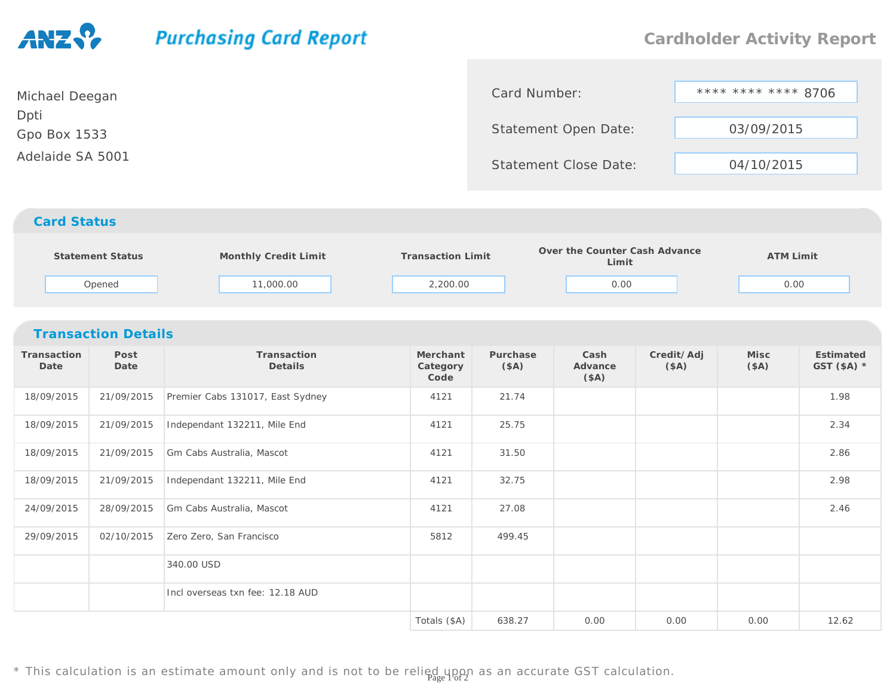# **Purchasing Card Report Cardholder Activity Report**Card Number:

 \*\*\*\* \*\*\*\* \*\*\*\* 8706Statement Open Date: 03/09/2015Statement Close Date: 04/10/2015Michael DeeganDptiGpo Box 1533Adelaide SA 5001

## *Card Status*

| Statement Status | Monthly Credit Limit | <b>Transaction Limit</b> | Over the Counter Cash Advance<br>Limit | <b>ATM Limit</b> |  |
|------------------|----------------------|--------------------------|----------------------------------------|------------------|--|
| Opened           | 11,000.00            | 2,200.00                 | 0.00                                   | 0.00             |  |

## *Transaction Details*

| Transaction<br>Date | Post<br>Date | Transaction<br>Details           | Merchant<br>Category<br>Code | Purchase<br>(\$A) | Cash<br>Advance<br>(\$A) | Credit/Adj<br>(SA) | Misc<br>(\$A) | Estimated<br>GST $($A)$ * |
|---------------------|--------------|----------------------------------|------------------------------|-------------------|--------------------------|--------------------|---------------|---------------------------|
| 18/09/2015          | 21/09/2015   | Premier Cabs 131017, East Sydney | 4121                         | 21.74             |                          |                    |               | 1.98                      |
| 18/09/2015          | 21/09/2015   | Independant 132211, Mile End     | 4121                         | 25.75             |                          |                    |               | 2.34                      |
| 18/09/2015          | 21/09/2015   | Gm Cabs Australia, Mascot        | 4121                         | 31.50             |                          |                    |               | 2.86                      |
| 18/09/2015          | 21/09/2015   | Independant 132211, Mile End     | 4121                         | 32.75             |                          |                    |               | 2.98                      |
| 24/09/2015          | 28/09/2015   | Gm Cabs Australia, Mascot        | 4121                         | 27.08             |                          |                    |               | 2.46                      |
| 29/09/2015          | 02/10/2015   | Zero Zero, San Francisco         | 5812                         | 499.45            |                          |                    |               |                           |
|                     |              | 340.00 USD                       |                              |                   |                          |                    |               |                           |
|                     |              | Incl overseas txn fee: 12.18 AUD |                              |                   |                          |                    |               |                           |
|                     |              |                                  | Totals (\$A)                 | 638.27            | 0.00                     | 0.00               | 0.00          | 12.62                     |

\* This calculation is an estimate amount only and is not to be relied upon as an accurate GST calculation.<br>\*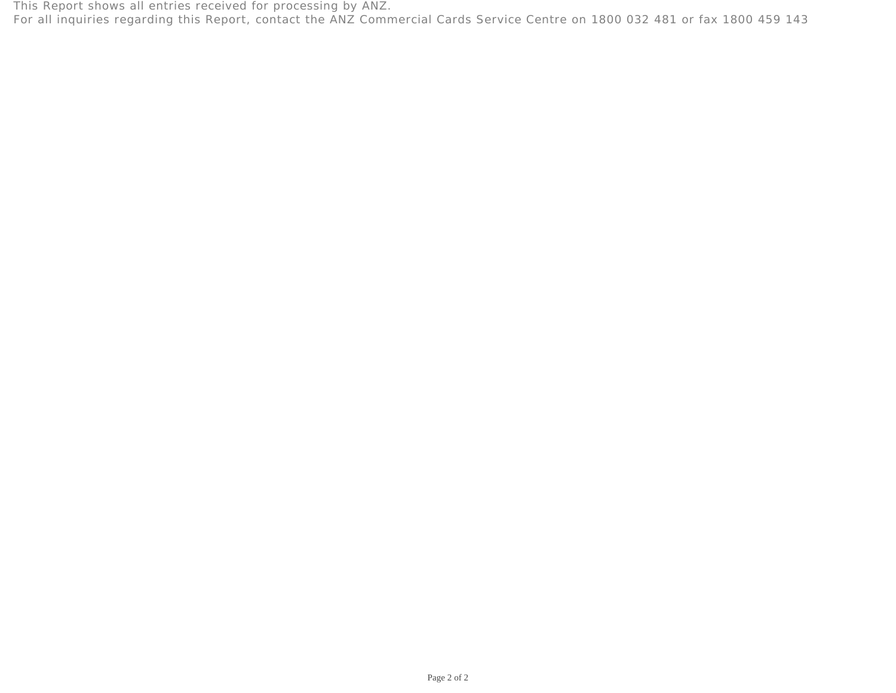This Report shows all entries received for processing by ANZ. For all inquiries regarding this Report, contact the ANZ Commercial Cards Service Centre on 1800 032 481 or fax 1800 459 143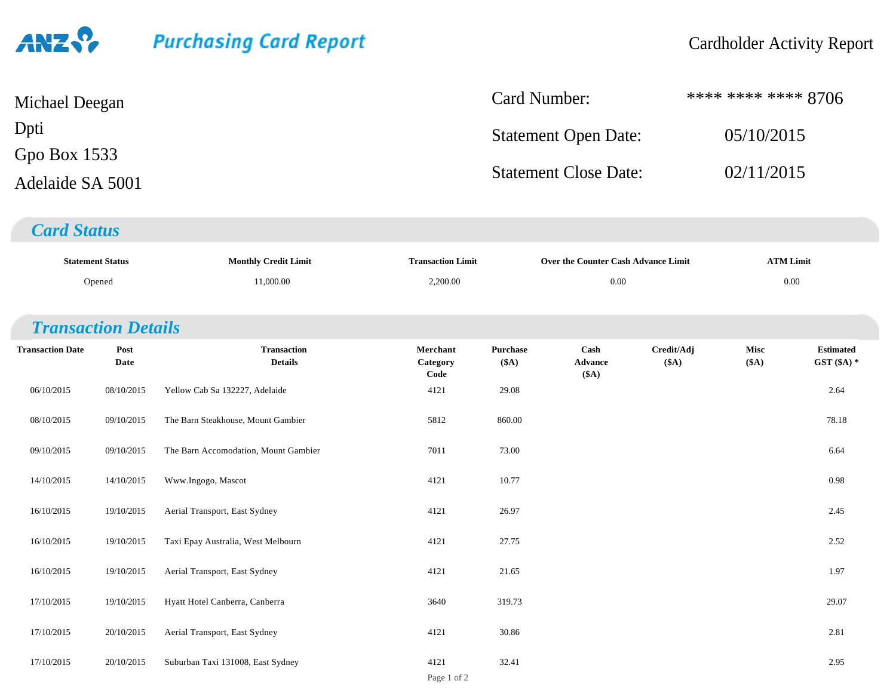# **Purchasing Card Report**

| Michael Deegan   | Card Number:                 | **** **** **** 8706 |
|------------------|------------------------------|---------------------|
| Dpti             | <b>Statement Open Date:</b>  | 05/10/2015          |
| Gpo Box $1533$   |                              |                     |
| Adelaide SA 5001 | <b>Statement Close Date:</b> | 02/11/2015          |

## *Card Status*

|                            | <b>Statement Status</b> | <b>Monthly Credit Limit</b>          | <b>Transaction Limit</b>     |                  | Over the Counter Cash Advance Limit |                     | <b>ATM Limit</b> |                                  |  |
|----------------------------|-------------------------|--------------------------------------|------------------------------|------------------|-------------------------------------|---------------------|------------------|----------------------------------|--|
| Opened                     |                         | 11,000.00                            | 2,200.00                     |                  | $0.00\,$                            |                     |                  | $0.00\,$                         |  |
|                            |                         |                                      |                              |                  |                                     |                     |                  |                                  |  |
| <b>Transaction Details</b> |                         |                                      |                              |                  |                                     |                     |                  |                                  |  |
| <b>Transaction Date</b>    | Post<br>Date            | <b>Transaction</b><br><b>Details</b> | Merchant<br>Category<br>Code | Purchase<br>(SA) | Cash<br>Advance<br>(\$A)            | Credit/Adj<br>(\$A) | Misc<br>(\$A)    | <b>Estimated</b><br>GST $(SA)$ * |  |
| 06/10/2015                 | 08/10/2015              | Yellow Cab Sa 132227, Adelaide       | 4121                         | 29.08            |                                     |                     |                  | 2.64                             |  |
| 08/10/2015                 | 09/10/2015              | The Barn Steakhouse, Mount Gambier   | 5812                         | 860.00           |                                     |                     |                  | 78.18                            |  |
| 09/10/2015                 | 09/10/2015              | The Barn Accomodation, Mount Gambier | 7011                         | 73.00            |                                     |                     |                  | 6.64                             |  |
| 14/10/2015                 | 14/10/2015              | Www.Ingogo, Mascot                   | 4121                         | 10.77            |                                     |                     |                  | 0.98                             |  |
| 16/10/2015                 | 19/10/2015              | Aerial Transport, East Sydney        | 4121                         | 26.97            |                                     |                     |                  | 2.45                             |  |
| 16/10/2015                 | 19/10/2015              | Taxi Epay Australia, West Melbourn   | 4121                         | 27.75            |                                     |                     |                  | 2.52                             |  |
| 16/10/2015                 | 19/10/2015              | Aerial Transport, East Sydney        | 4121                         | 21.65            |                                     |                     |                  | 1.97                             |  |
| 17/10/2015                 | 19/10/2015              | Hyatt Hotel Canberra, Canberra       | 3640                         | 319.73           |                                     |                     |                  | 29.07                            |  |
| 17/10/2015                 | 20/10/2015              | Aerial Transport, East Sydney        | 4121                         | 30.86            |                                     |                     |                  | 2.81                             |  |
| 17/10/2015                 | 20/10/2015              | Suburban Taxi 131008, East Sydney    | 4121                         | 32.41            |                                     |                     |                  | 2.95                             |  |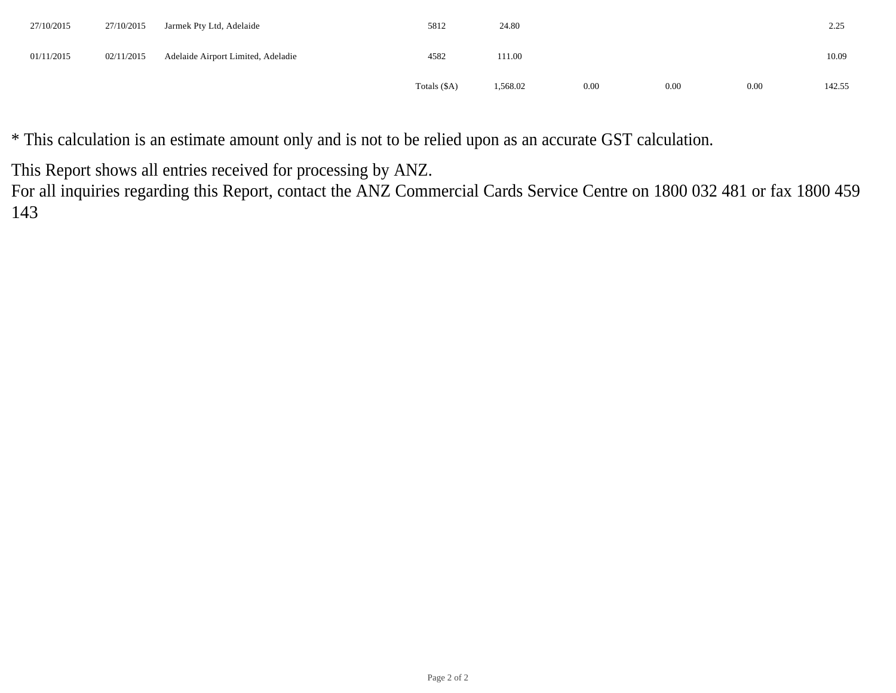| 27/10/2015 | 27/10/2015 | Jarmek Pty Ltd, Adelaide           | 5812         | 24.80    |      |      |      | 2.25   |
|------------|------------|------------------------------------|--------------|----------|------|------|------|--------|
| 01/11/2015 | 02/11/2015 | Adelaide Airport Limited, Adeladie | 4582         | 111.00   |      |      |      | 10.09  |
|            |            |                                    | Totals (\$A) | 1,568.02 | 0.00 | 0.00 | 0.00 | 142.55 |

\* This calculation is an estimate amount only and is not to be relied upon as an accurate GST calculation.

This Report shows all entries received for processing by ANZ.

 For all inquiries regarding this Report, contact the ANZ Commercial Cards Service Centre on 1800 032 481 or fax 1800 459 143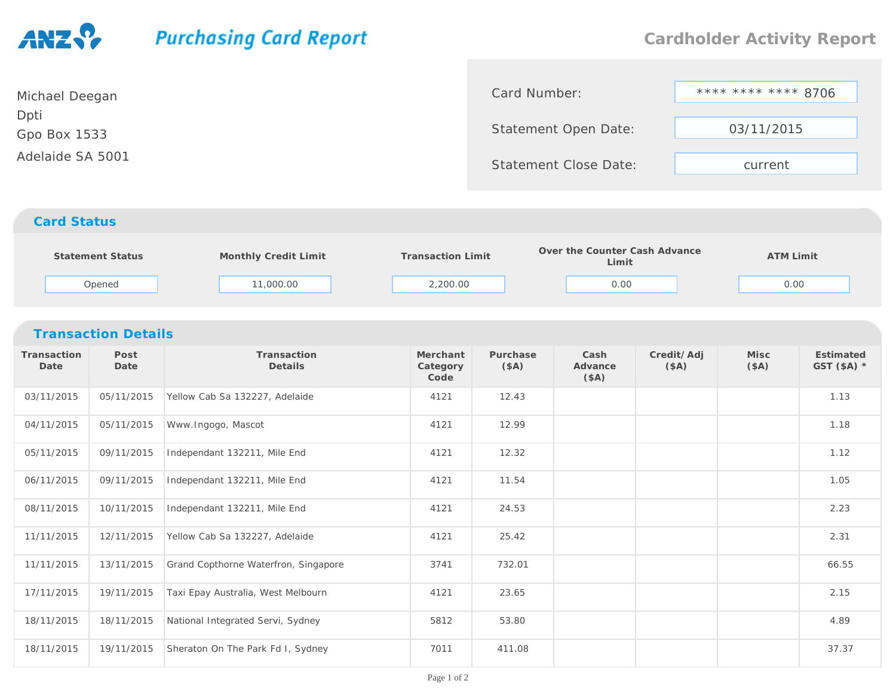## **Purchasing Card Report Cardholder Activity Report**\*\*\*\* \*\*\*\* \*\*\* 8706 Card Number:Michael DeeganDptiStatement Open Date:Gpo Box 1533

 03/11/2015Statement Close Date: current Adelaide SA 5001

### *Card Status*

| Statement Status | Monthly Credit Limit | Transaction Limit | Over the Counter Cash Advance<br>Limit | <b>ATM Limit</b> |  |
|------------------|----------------------|-------------------|----------------------------------------|------------------|--|
| Opened           | 11,000.00            | 2,200.00          | 0.00                                   | 0.00             |  |

#### *Transaction Details***Transaction DatePost DateTransactionDetailsMerchant CategoryCodePurchase(\$A)Cash Advance(\$A)Credit/Adj(\$A)Misc (\$A)Estimated GST (\$A) \***03/11/20155 05/11/2015 Yellow Cab Sa 132227, Adelaide 4121 12.43 1.13 1.13 1.13 1.13 04/11/2015 05/11/2015 Www.Ingogo, Mascot <sup>4121</sup> 12.99 1.18 05/11/201509/11/2015 Independant 132211, Mile End 4121 12.32 1.12 12.32 1.12 06/11/201509/11/2015 Independant 132211, Mile End 14121 11.54 105 100 111 11.54 1.05 08/11/2015 10/11/2015 Independant 132211, Mile End <sup>4121</sup> 24.53 2.23 11/11/2015 12/11/2015 Yellow Cab Sa 132227, Adelaide <sup>4121</sup> 25.42 2.31 11/11/201513/11/2015 Grand Copthorne Waterfron, Singapore 1990 13741 732.01 13741 732.01 66.55 17/11/2015 19/11/2015 Taxi Epay Australia, West Melbourn <sup>4121</sup> 23.65 2.15 18/11/2015 18/11/2015 National Integrated Servi, Sydney <sup>5812</sup> 53.80 4.89 18/11/201519/11/2015 Sheraton On The Park Fd I, Sydney 7011 411.08 37.37